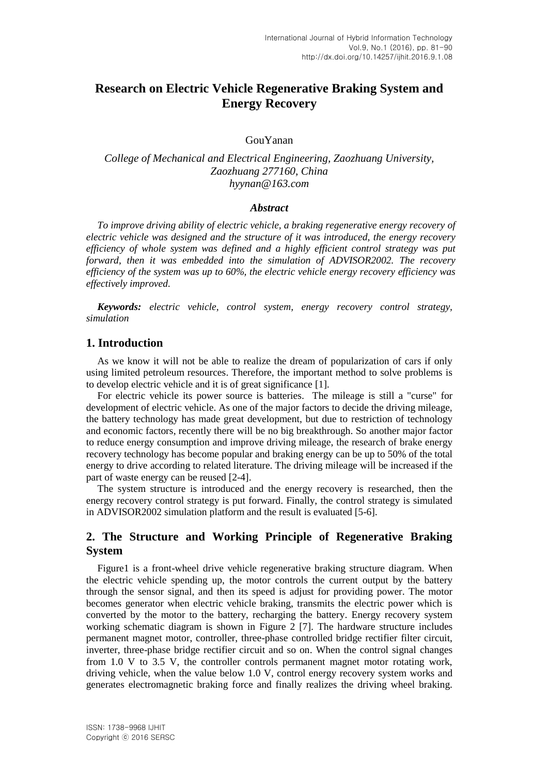# **Research on Electric Vehicle Regenerative Braking System and Energy Recovery**

## GouYanan

# *College of Mechanical and Electrical Engineering, Zaozhuang University, Zaozhuang 277160, China hyynan@163.com*

## *Abstract*

*To improve driving ability of electric vehicle, a braking regenerative energy recovery of electric vehicle was designed and the structure of it was introduced, the energy recovery efficiency of whole system was defined and a highly efficient control strategy was put forward, then it was embedded into the simulation of ADVISOR2002. The recovery efficiency of the system was up to 60%, the electric vehicle energy recovery efficiency was effectively improved.*

*Keywords: electric vehicle, control system, energy recovery control strategy, simulation*

## **1. Introduction**

As we know it will not be able to realize the dream of popularization of cars if only using limited petroleum resources. Therefore, the important method to solve problems is to develop electric vehicle and it is of great significance [1].

For electric vehicle its power source is batteries. The mileage is still a "curse" for development of electric vehicle. As one of the major factors to decide the driving mileage, the battery technology has made great development, but due to restriction of technology and economic factors, recently there will be no big breakthrough. So another major factor to reduce energy consumption and improve driving mileage, the research of brake energy recovery technology has become popular and braking energy can be up to 50% of the total energy to drive according to related literature. The driving mileage will be increased if the part of waste energy can be reused [2-4].

The system structure is introduced and the energy recovery is researched, then the energy recovery control strategy is put forward. Finally, the control strategy is simulated in ADVISOR2002 simulation platform and the result is evaluated [5-6].

# **2. The Structure and Working Principle of Regenerative Braking System**

Figure1 is a front-wheel drive vehicle regenerative braking structure diagram. When the electric vehicle spending up, the motor controls the current output by the battery through the sensor signal, and then its speed is adjust for providing power. The motor becomes generator when electric vehicle braking, transmits the electric power which is converted by the motor to the battery, recharging the battery. Energy recovery system working schematic diagram is shown in Figure 2 [7]. The hardware structure includes permanent magnet motor, controller, three-phase controlled bridge rectifier filter circuit, inverter, three-phase bridge rectifier circuit and so on. When the control signal changes from 1.0 V to 3.5 V, the controller controls permanent magnet motor rotating work, driving vehicle, when the value below 1.0 V, control energy recovery system works and generates electromagnetic braking force and finally realizes the driving wheel braking.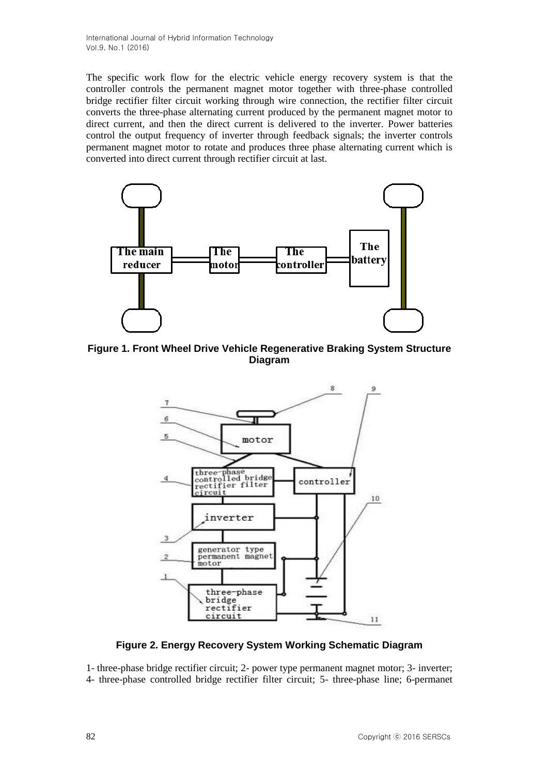International Journal of Hybrid Information Technology Vol.9, No.1 (2016)

The specific work flow for the electric vehicle energy recovery system is that the controller controls the permanent magnet motor together with three-phase controlled bridge rectifier filter circuit working through wire connection, the rectifier filter circuit converts the three-phase alternating current produced by the permanent magnet motor to direct current, and then the direct current is delivered to the inverter. Power batteries control the output frequency of inverter through feedback signals; the inverter controls permanent magnet motor to rotate and produces three phase alternating current which is converted into direct current through rectifier circuit at last.



**Figure 1. Front Wheel Drive Vehicle Regenerative Braking System Structure Diagram**



# **Figure 2. Energy Recovery System Working Schematic Diagram**

1- three-phase bridge rectifier circuit; 2- power type permanent magnet motor; 3- inverter; 4- three-phase controlled bridge rectifier filter circuit; 5- three-phase line; 6-permanet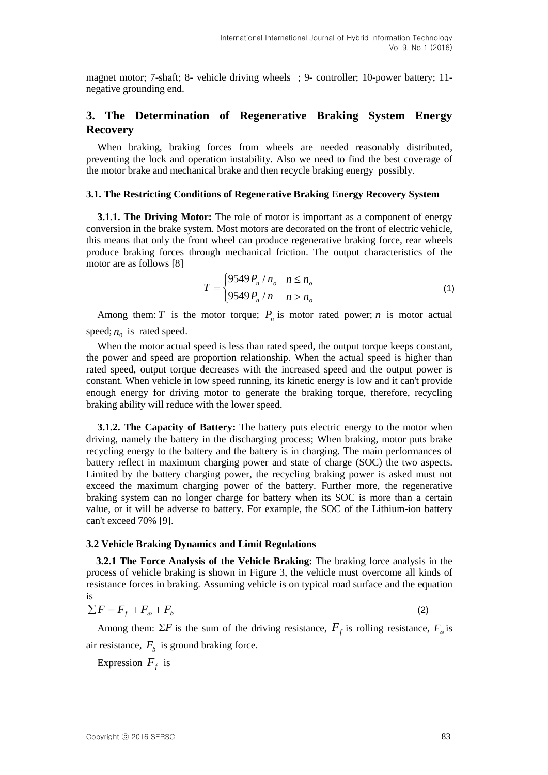magnet motor; 7-shaft; 8- vehicle driving wheels ; 9- controller; 10-power battery; 11 negative grounding end.

# **3. The Determination of Regenerative Braking System Energy Recovery**

When braking, braking forces from wheels are needed reasonably distributed, preventing the lock and operation instability. Also we need to find the best coverage of the motor brake and mechanical brake and then recycle braking energy possibly.

### **3.1. The Restricting Conditions of Regenerative Braking Energy Recovery System**

**3.1.1. The Driving Motor:** The role of motor is important as a component of energy conversion in the brake system. Most motors are decorated on the front of electric vehicle, this means that only the front wheel can produce regenerative braking force, rear wheels produce braking forces through mechanical friction. The output characteristics of the motor are as follows [8]

$$
T = \begin{cases} 9549 P_n / n_o & n \le n_o \\ 9549 P_n / n & n > n_o \end{cases}
$$
 (1)

Among them: *T* is the motor torque;  $P_n$  is motor rated power; *n* is motor actual speed;  $n_0$  is rated speed.

When the motor actual speed is less than rated speed, the output torque keeps constant, the power and speed are proportion relationship. When the actual speed is higher than rated speed, output torque decreases with the increased speed and the output power is constant. When vehicle in low speed running, its kinetic energy is low and it can't provide enough energy for driving motor to generate the braking torque, therefore, recycling braking ability will reduce with the lower speed.

**3.1.2. The Capacity of Battery:** The battery puts electric energy to the motor when driving, namely the battery in the discharging process; When braking, motor puts brake recycling energy to the battery and the battery is in charging. The main performances of battery reflect in maximum charging power and state of charge (SOC) the two aspects. Limited by the battery charging power, the recycling braking power is asked must not exceed the maximum charging power of the battery. Further more, the regenerative braking system can no longer charge for battery when its SOC is more than a certain value, or it will be adverse to battery. For example, the SOC of the Lithium-ion battery can't exceed 70% [9].

## **3.2 Vehicle Braking Dynamics and Limit Regulations**

**3.2.1 The Force Analysis of the Vehicle Braking:** The braking force analysis in the process of vehicle braking is shown in Figure 3, the vehicle must overcome all kinds of resistance forces in braking. Assuming vehicle is on typical road surface and the equation is

$$
\sum F = F_f + F_\omega + F_b \tag{2}
$$

Among them:  $\Sigma F$  is the sum of the driving resistance,  $F_f$  is rolling resistance,  $F_{\varphi}$  is air resistance,  $F_b$  is ground braking force.

Expression  $F_f$  is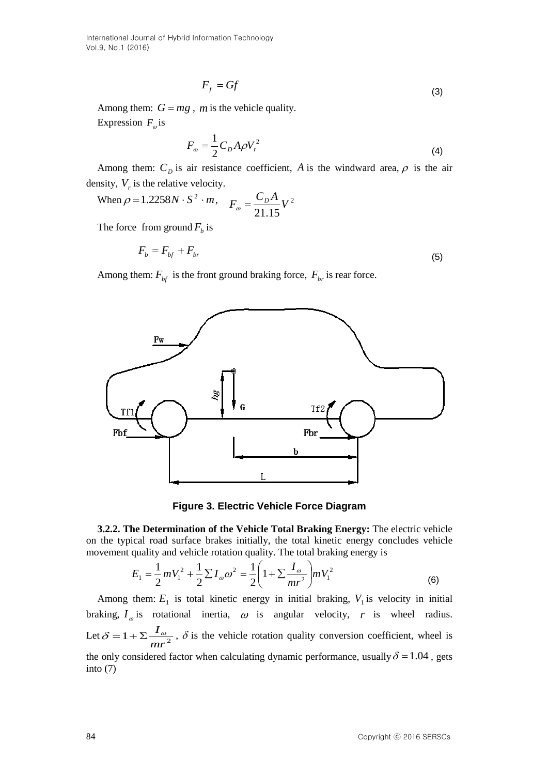International Journal of Hybrid Information Technology Vol.9, No.1 (2016)

$$
F_f = Gf \tag{3}
$$

Among them:  $G = mg$ , *m* is the vehicle quality. Expression  $F_{\omega}$  is

$$
F_{\omega} = \frac{1}{2} C_D A \rho V_r^2 \tag{4}
$$

Among them:  $C_D$  is air resistance coefficient, A is the windward area,  $\rho$  is the air density,  $V_r$  is the relative velocity.

When 
$$
\rho = 1.2258N \cdot S^2 \cdot m
$$
,  $F_{\omega} = \frac{C_D A}{21.15} V^2$ 

The force from ground  $F_b$  is

$$
F_b = F_{bf} + F_{br} \tag{5}
$$

Among them:  $F_{bf}$  is the front ground braking force,  $F_{bf}$  is rear force.



**Figure 3. Electric Vehicle Force Diagram**

**3.2.2. The Determination of the Vehicle Total Braking Energy:** The electric vehicle on the typical road surface brakes initially, the total kinetic energy concludes vehicle movement quality and vehicle rotation quality. The total braking energy is

$$
E_1 = \frac{1}{2} m V_1^2 + \frac{1}{2} \sum I_{\omega} \omega^2 = \frac{1}{2} \left( 1 + \sum \frac{I_{\omega}}{mr^2} \right) m V_1^2
$$
 (6)

Among them:  $E_1$  is total kinetic energy in initial braking,  $V_1$  is velocity in initial braking,  $I_{\varphi}$  is rotational inertia,  $\omega$  is angular velocity, r is wheel radius. Let  $\delta = 1 + \sum \frac{I_{\omega}}{m r^2}$ *mr*  $\delta = 1 + \sum_{i=1}^{n} I_{\infty}$ ,  $\delta$  is the vehicle rotation quality conversion coefficient, wheel is the only considered factor when calculating dynamic performance, usually  $\delta = 1.04$ , gets into (7)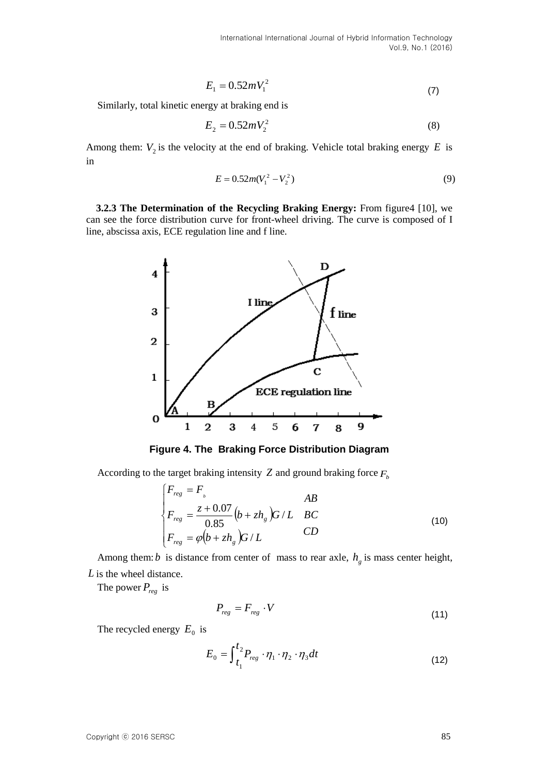$$
E_1 = 0.52mV_1^2\tag{7}
$$

Similarly, total kinetic energy at braking end is

$$
E_2 = 0.52mV_2^2\tag{8}
$$

Among them:  $V_2$  is the velocity at the end of braking. Vehicle total braking energy  $E$  is in

$$
E = 0.52m(V_1^2 - V_2^2)
$$
\n(9)

**3.2.3 The Determination of the Recycling Braking Energy:** From figure4 [10], we can see the force distribution curve for front-wheel driving. The curve is composed of I line, abscissa axis, ECE regulation line and f line.



**Figure 4. The Braking Force Distribution Diagram**

According to the target braking intensity  $Z$  and ground braking force  $F_b$ 

$$
\begin{cases}\nF_{reg} = F, & AB \\
F_{reg} = \frac{z + 0.07}{0.85} (b + zh_s) G/L & BC \\
F_{reg} = \varphi (b + zh_s) G/L & CD\n\end{cases}
$$
\n(10)

Among them: *b* is distance from center of mass to rear axle,  $h<sub>g</sub>$  is mass center height, *L* is the wheel distance.

The power  $P_{reg}$  is

$$
P_{reg} = F_{reg} \cdot V \tag{11}
$$

The recycled energy  $E_0$  is

$$
E_0 = \int_{t_1}^{t_2} P_{reg} \cdot \eta_1 \cdot \eta_2 \cdot \eta_3 dt \tag{12}
$$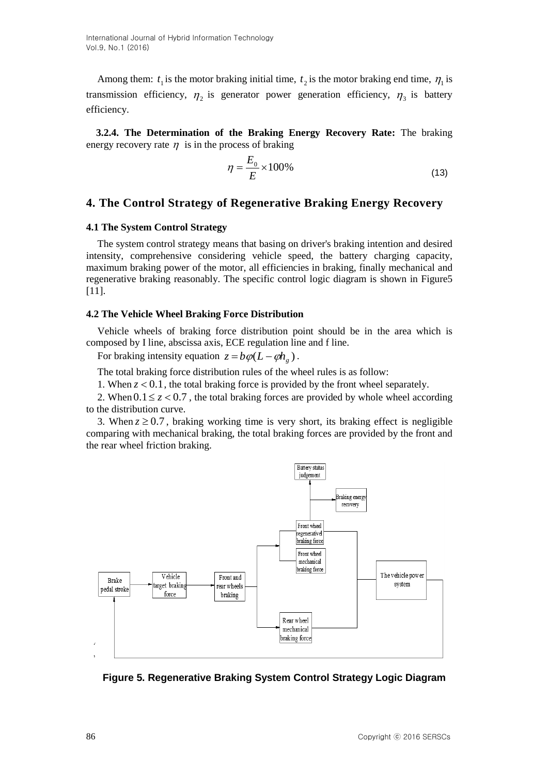Among them:  $t_1$  is the motor braking initial time,  $t_2$  is the motor braking end time,  $\eta_1$  is transmission efficiency,  $\eta_2$  is generator power generation efficiency,  $\eta_3$  is battery efficiency.

**3.2.4. The Determination of the Braking Energy Recovery Rate:** The braking energy recovery rate  $\eta$  is in the process of braking

$$
\eta = \frac{E_0}{E} \times 100\%
$$
\n(13)

## **4. The Control Strategy of Regenerative Braking Energy Recovery**

### **4.1 The System Control Strategy**

The system control strategy means that basing on driver's braking intention and desired intensity, comprehensive considering vehicle speed, the battery charging capacity, maximum braking power of the motor, all efficiencies in braking, finally mechanical and regenerative braking reasonably. The specific control logic diagram is shown in Figure5 [11].

#### **4.2 The Vehicle Wheel Braking Force Distribution**

Vehicle wheels of braking force distribution point should be in the area which is composed by I line, abscissa axis, ECE regulation line and f line.

For braking intensity equation  $z = b\varphi(L - \varphi h_g)$ .

The total braking force distribution rules of the wheel rules is as follow:

1. When  $z < 0.1$ , the total braking force is provided by the front wheel separately.

2. When  $0.1 \le z < 0.7$ , the total braking forces are provided by whole wheel according to the distribution curve.

3. When  $z \ge 0.7$ , braking working time is very short, its braking effect is negligible comparing with mechanical braking, the total braking forces are provided by the front and the rear wheel friction braking.



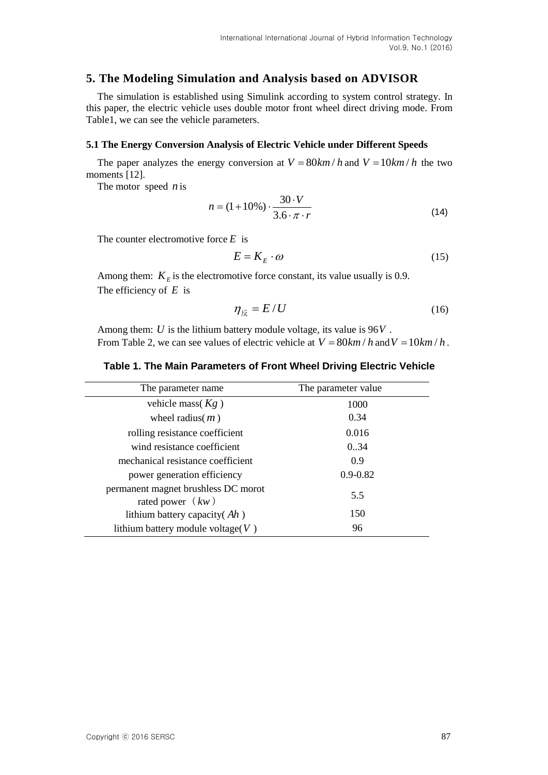# **5. The Modeling Simulation and Analysis based on ADVISOR**

The simulation is established using Simulink according to system control strategy. In this paper, the electric vehicle uses double motor front wheel direct driving mode. From Table1, we can see the vehicle parameters.

## **5.1 The Energy Conversion Analysis of Electric Vehicle under Different Speeds**

The paper analyzes the energy conversion at  $V = 80$ *km* / *h* and  $V = 10$ *km* / *h* the two moments [12].

The motor speed *n* is

$$
n = (1 + 10\%) \cdot \frac{30 \cdot V}{3.6 \cdot \pi \cdot r}
$$
 (14)

The counter electromotive force *E* is

$$
E = K_E \cdot \omega \tag{15}
$$

Among them:  $K<sub>E</sub>$  is the electromotive force constant, its value usually is 0.9. The efficiency of *E* is

$$
\eta_{\overline{\mathcal{R}}} = E/U \tag{16}
$$

Among them: *U* is the lithium battery module voltage, its value is 96 *V* . From Table 2, we can see values of electric vehicle at  $V = 80$ *km* / *h* and  $V = 10$ *km* / *h*.

## **Table 1. The Main Parameters of Front Wheel Driving Electric Vehicle**

| The parameter name                                        | The parameter value |
|-----------------------------------------------------------|---------------------|
| vehicle mass $(Kg)$                                       | 1000                |
| wheel radius $(m)$                                        | 0.34                |
| rolling resistance coefficient                            | 0.016               |
| wind resistance coefficient                               | 0.34                |
| mechanical resistance coefficient                         | 0.9                 |
| power generation efficiency                               | $0.9 - 0.82$        |
| permanent magnet brushless DC morot<br>rated power $(kw)$ | 5.5                 |
| lithium battery capacity (Ah)                             | 150                 |
| lithium battery module voltage $(V)$                      | 96                  |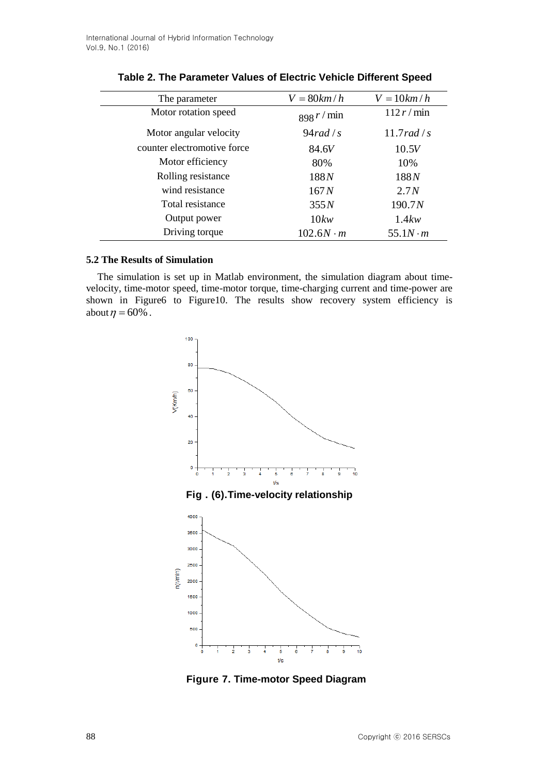| The parameter               | $V = 80$ km/h    | $V = 10km/h$    |
|-----------------------------|------------------|-----------------|
| Motor rotation speed        | 898 r / min      | 112 r/min       |
| Motor angular velocity      | 94 rad/s         | $11.7$ rad / s  |
| counter electromotive force | 84.6V            | 10.5V           |
| Motor efficiency            | 80%              | 10%             |
| Rolling resistance          | 188N             | 188N            |
| wind resistance             | 167N             | 2.7N            |
| Total resistance            | 355N             | 190.7N          |
| Output power                | 10kw             | 1.4kw           |
| Driving torque              | $102.6N \cdot m$ | $55.1N \cdot m$ |

| Table 2. The Parameter Values of Electric Vehicle Different Speed |  |
|-------------------------------------------------------------------|--|
|-------------------------------------------------------------------|--|

# **5.2 The Results of Simulation**

The simulation is set up in Matlab environment, the simulation diagram about timevelocity, time-motor speed, time-motor torque, time-charging current and time-power are shown in Figure6 to Figure10. The results show recovery system efficiency is about  $\eta = 60\%$ .



**Figure 7. Time-motor Speed Diagram**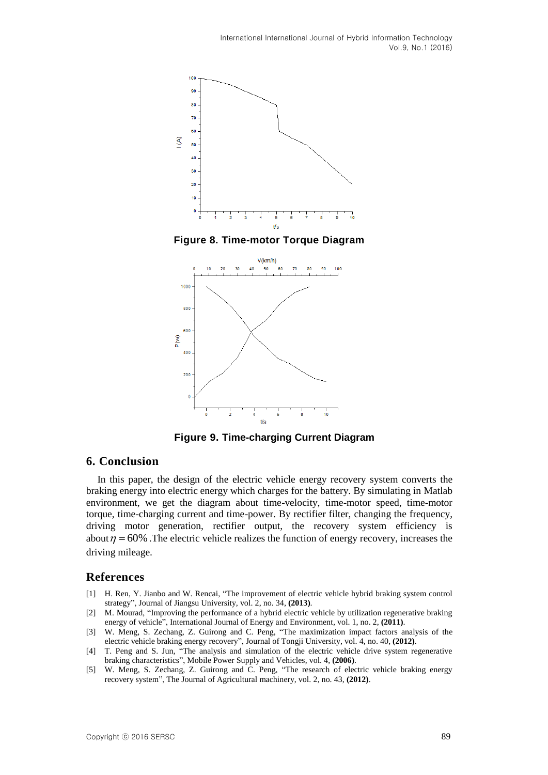

**Figure 8. Time-motor Torque Diagram**



**Figure 9. Time-charging Current Diagram**

## **6. Conclusion**

In this paper, the design of the electric vehicle energy recovery system converts the braking energy into electric energy which charges for the battery. By simulating in Matlab environment, we get the diagram about time-velocity, time-motor speed, time-motor torque, time-charging current and time-power. By rectifier filter, changing the frequency, driving motor generation, rectifier output, the recovery system efficiency is about  $\eta = 60\%$ . The electric vehicle realizes the function of energy recovery, increases the driving mileage.

# **References**

- [1] H. Ren, Y. Jianbo and W. Rencai, "The improvement of electric vehicle hybrid braking system control strategy", Journal of Jiangsu University, vol. 2, no. 34, **(2013)**.
- [2] M. Mourad, "Improving the performance of a hybrid electric vehicle by utilization regenerative braking energy of vehicle", International Journal of Energy and Environment, vol. 1, no. 2, **(2011)**.
- [3] W. Meng, S. Zechang, Z. Guirong and C. Peng, "The maximization impact factors analysis of the electric vehicle braking energy recovery", Journal of Tongji University, vol. 4, no. 40, **(2012)**.
- [4] T. Peng and S. Jun, "The analysis and simulation of the electric vehicle drive system regenerative braking characteristics", Mobile Power Supply and Vehicles, vol. 4, **(2006)**.
- [5] W. Meng, S. Zechang, Z. Guirong and C. Peng, "The research of electric vehicle braking energy recovery system", The Journal of Agricultural machinery, vol. 2, no. 43, **(2012)**.